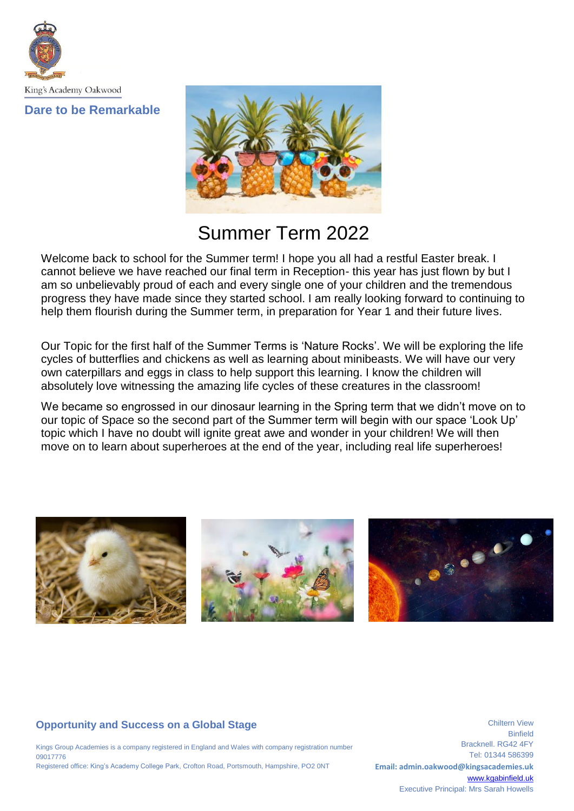King's Academy Oakwood

**Dare to be Remarkable**



# Summer Term 2022

Welcome back to school for the Summer term! I hope you all had a restful Easter break. I cannot believe we have reached our final term in Reception- this year has just flown by but I am so unbelievably proud of each and every single one of your children and the tremendous progress they have made since they started school. I am really looking forward to continuing to help them flourish during the Summer term, in preparation for Year 1 and their future lives.

Our Topic for the first half of the Summer Terms is 'Nature Rocks'. We will be exploring the life cycles of butterflies and chickens as well as learning about minibeasts. We will have our very own caterpillars and eggs in class to help support this learning. I know the children will absolutely love witnessing the amazing life cycles of these creatures in the classroom!

We became so engrossed in our dinosaur learning in the Spring term that we didn't move on to our topic of Space so the second part of the Summer term will begin with our space 'Look Up' topic which I have no doubt will ignite great awe and wonder in your children! We will then move on to learn about superheroes at the end of the year, including real life superheroes!



# **Opportunity and Success on a Global Stage**

Kings Group Academies is a company registered in England and Wales with company registration number 09017776 Registered office: King's Academy College Park, Crofton Road, Portsmouth, Hampshire, PO2 0NT

Binfield Bracknell. RG42 4FY Tel: 01344 586399 **Email: admin.oakwood@kingsacademies.uk** [www.kgabinfield.uk](http://www.kgabinfield.uk/) Executive Principal: Mrs Sarah Howells

Chiltern View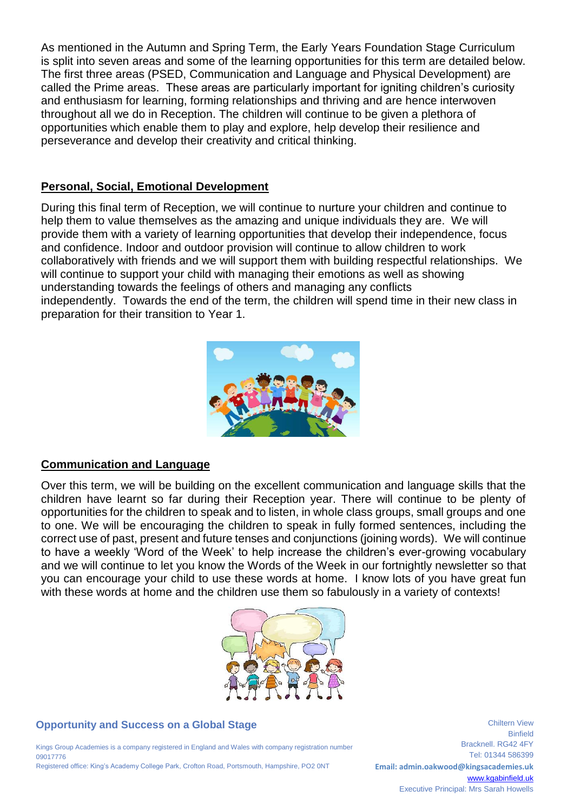As mentioned in the Autumn and Spring Term, the Early Years Foundation Stage Curriculum is split into seven areas and some of the learning opportunities for this term are detailed below. The first three areas (PSED, Communication and Language and Physical Development) are called the Prime areas. These areas are particularly important for igniting children's curiosity and enthusiasm for learning, forming relationships and thriving and are hence interwoven throughout all we do in Reception. The children will continue to be given a plethora of opportunities which enable them to play and explore, help develop their resilience and perseverance and develop their creativity and critical thinking.

#### **Personal, Social, Emotional Development**

During this final term of Reception, we will continue to nurture your children and continue to help them to value themselves as the amazing and unique individuals they are. We will provide them with a variety of learning opportunities that develop their independence, focus and confidence. Indoor and outdoor provision will continue to allow children to work collaboratively with friends and we will support them with building respectful relationships. We will continue to support your child with managing their emotions as well as showing understanding towards the feelings of others and managing any conflicts independently. Towards the end of the term, the children will spend time in their new class in preparation for their transition to Year 1.



## **Communication and Language**

Over this term, we will be building on the excellent communication and language skills that the children have learnt so far during their Reception year. There will continue to be plenty of opportunities for the children to speak and to listen, in whole class groups, small groups and one to one. We will be encouraging the children to speak in fully formed sentences, including the correct use of past, present and future tenses and conjunctions (joining words). We will continue to have a weekly 'Word of the Week' to help increase the children's ever-growing vocabulary and we will continue to let you know the Words of the Week in our fortnightly newsletter so that you can encourage your child to use these words at home. I know lots of you have great fun with these words at home and the children use them so fabulously in a variety of contexts!



#### **Opportunity and Success on a Global Stage**

Kings Group Academies is a company registered in England and Wales with company registration number 09017776 Registered office: King's Academy College Park, Crofton Road, Portsmouth, Hampshire, PO2 0NT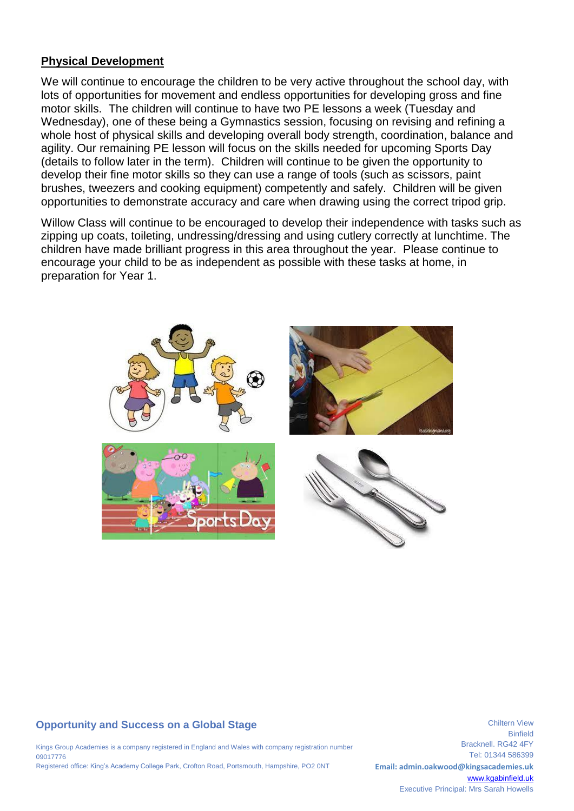#### **Physical Development**

We will continue to encourage the children to be very active throughout the school day, with lots of opportunities for movement and endless opportunities for developing gross and fine motor skills. The children will continue to have two PE lessons a week (Tuesday and Wednesday), one of these being a Gymnastics session, focusing on revising and refining a whole host of physical skills and developing overall body strength, coordination, balance and agility. Our remaining PE lesson will focus on the skills needed for upcoming Sports Day (details to follow later in the term). Children will continue to be given the opportunity to develop their fine motor skills so they can use a range of tools (such as scissors, paint brushes, tweezers and cooking equipment) competently and safely. Children will be given opportunities to demonstrate accuracy and care when drawing using the correct tripod grip.

Willow Class will continue to be encouraged to develop their independence with tasks such as zipping up coats, toileting, undressing/dressing and using cutlery correctly at lunchtime. The children have made brilliant progress in this area throughout the year. Please continue to encourage your child to be as independent as possible with these tasks at home, in preparation for Year 1.



## **Opportunity and Success on a Global Stage**

Kings Group Academies is a company registered in England and Wales with company registration number 09017776 Registered office: King's Academy College Park, Crofton Road, Portsmouth, Hampshire, PO2 0NT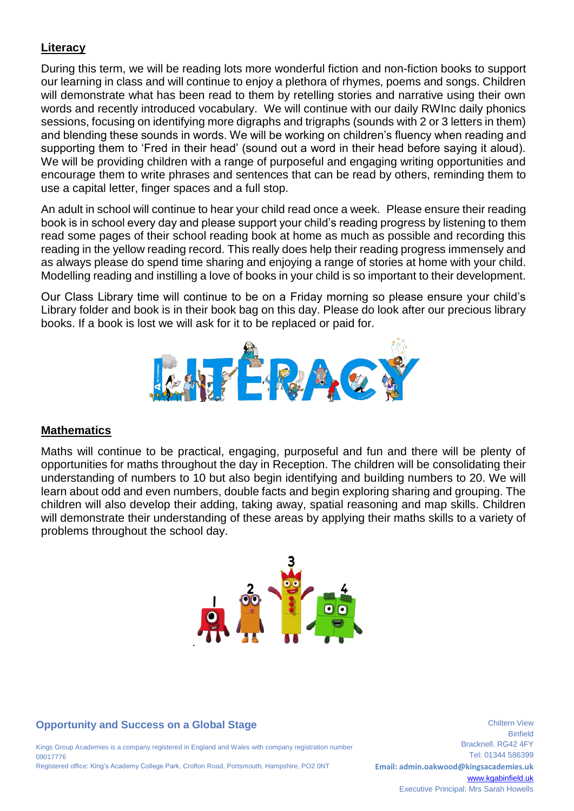# **Literacy**

During this term, we will be reading lots more wonderful fiction and non-fiction books to support our learning in class and will continue to enjoy a plethora of rhymes, poems and songs. Children will demonstrate what has been read to them by retelling stories and narrative using their own words and recently introduced vocabulary. We will continue with our daily RWInc daily phonics sessions, focusing on identifying more digraphs and trigraphs (sounds with 2 or 3 letters in them) and blending these sounds in words. We will be working on children's fluency when reading and supporting them to 'Fred in their head' (sound out a word in their head before saying it aloud). We will be providing children with a range of purposeful and engaging writing opportunities and encourage them to write phrases and sentences that can be read by others, reminding them to use a capital letter, finger spaces and a full stop.

An adult in school will continue to hear your child read once a week. Please ensure their reading book is in school every day and please support your child's reading progress by listening to them read some pages of their school reading book at home as much as possible and recording this reading in the yellow reading record. This really does help their reading progress immensely and as always please do spend time sharing and enjoying a range of stories at home with your child. Modelling reading and instilling a love of books in your child is so important to their development.

Our Class Library time will continue to be on a Friday morning so please ensure your child's Library folder and book is in their book bag on this day. Please do look after our precious library books. If a book is lost we will ask for it to be replaced or paid for.



## **Mathematics**

Maths will continue to be practical, engaging, purposeful and fun and there will be plenty of opportunities for maths throughout the day in Reception. The children will be consolidating their understanding of numbers to 10 but also begin identifying and building numbers to 20. We will learn about odd and even numbers, double facts and begin exploring sharing and grouping. The children will also develop their adding, taking away, spatial reasoning and map skills. Children will demonstrate their understanding of these areas by applying their maths skills to a variety of problems throughout the school day.



## **Opportunity and Success on a Global Stage**

Kings Group Academies is a company registered in England and Wales with company registration number 09017776 Registered office: King's Academy College Park, Crofton Road, Portsmouth, Hampshire, PO2 0NT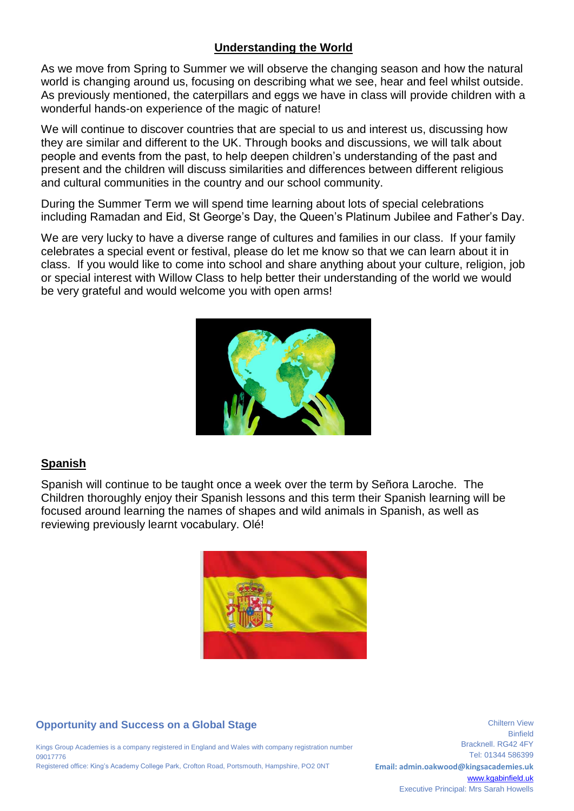# **Understanding the World**

As we move from Spring to Summer we will observe the changing season and how the natural world is changing around us, focusing on describing what we see, hear and feel whilst outside. As previously mentioned, the caterpillars and eggs we have in class will provide children with a wonderful hands-on experience of the magic of nature!

We will continue to discover countries that are special to us and interest us, discussing how they are similar and different to the UK. Through books and discussions, we will talk about people and events from the past, to help deepen children's understanding of the past and present and the children will discuss similarities and differences between different religious and cultural communities in the country and our school community.

During the Summer Term we will spend time learning about lots of special celebrations including Ramadan and Eid, St George's Day, the Queen's Platinum Jubilee and Father's Day.

We are very lucky to have a diverse range of cultures and families in our class. If your family celebrates a special event or festival, please do let me know so that we can learn about it in class. If you would like to come into school and share anything about your culture, religion, job or special interest with Willow Class to help better their understanding of the world we would be very grateful and would welcome you with open arms!



# **Spanish**

Spanish will continue to be taught once a week over the term by Señora Laroche. The Children thoroughly enjoy their Spanish lessons and this term their Spanish learning will be focused around learning the names of shapes and wild animals in Spanish, as well as reviewing previously learnt vocabulary. Olé!



# **Opportunity and Success on a Global Stage**

Kings Group Academies is a company registered in England and Wales with company registration number 09017776 Registered office: King's Academy College Park, Crofton Road, Portsmouth, Hampshire, PO2 0NT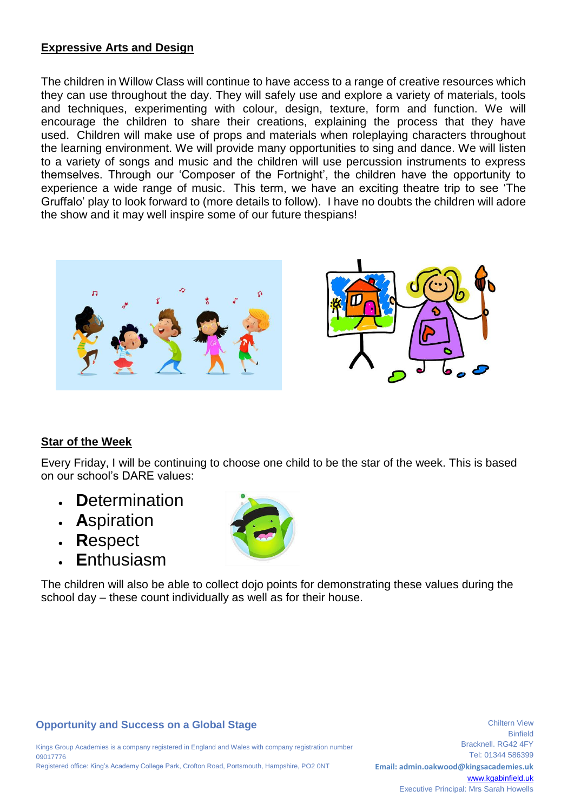## **Expressive Arts and Design**

The children in Willow Class will continue to have access to a range of creative resources which they can use throughout the day. They will safely use and explore a variety of materials, tools and techniques, experimenting with colour, design, texture, form and function. We will encourage the children to share their creations, explaining the process that they have used. Children will make use of props and materials when roleplaying characters throughout the learning environment. We will provide many opportunities to sing and dance. We will listen to a variety of songs and music and the children will use percussion instruments to express themselves. Through our 'Composer of the Fortnight', the children have the opportunity to experience a wide range of music. This term, we have an exciting theatre trip to see 'The Gruffalo' play to look forward to (more details to follow). I have no doubts the children will adore the show and it may well inspire some of our future thespians!





## **Star of the Week**

Every Friday, I will be continuing to choose one child to be the star of the week. This is based on our school's DARE values:

- **D**etermination
- **A**spiration
- **R**espect
- **E**nthusiasm



The children will also be able to collect dojo points for demonstrating these values during the school day – these count individually as well as for their house.

#### **Opportunity and Success on a Global Stage**

Kings Group Academies is a company registered in England and Wales with company registration number 09017776 Registered office: King's Academy College Park, Crofton Road, Portsmouth, Hampshire, PO2 0NT

Binfield Bracknell. RG42 4FY Tel: 01344 586399 **Email: admin.oakwood@kingsacademies.uk** [www.kgabinfield.uk](http://www.kgabinfield.uk/) Executive Principal: Mrs Sarah Howells

Chiltern View